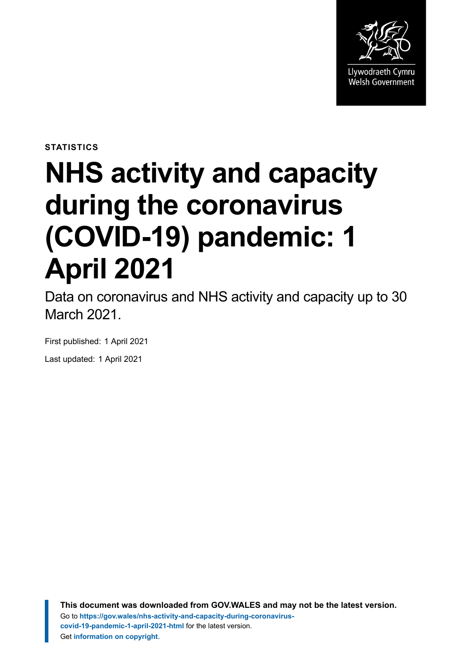

**STATISTICS**

# **NHS activity and capacity during the coronavirus (COVID-19) pandemic: 1 April 2021**

Data on coronavirus and NHS activity and capacity up to 30 March 2021.

First published: 1 April 2021 Last updated: 1 April 2021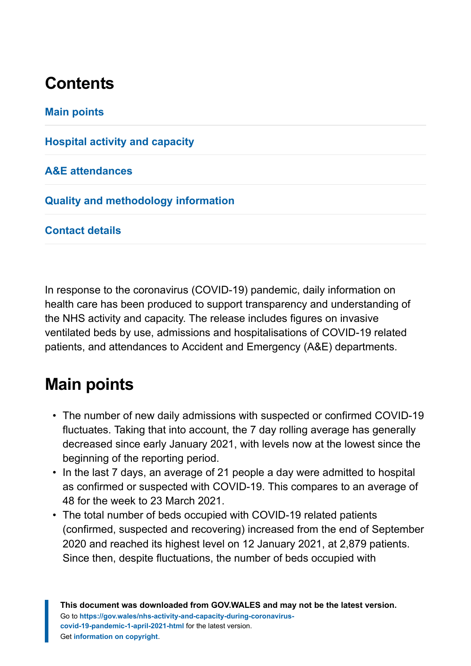# **Contents**

**[Main points](#page-1-0)**

**[Hospital activity and capacity](#page-3-0)**

**[A&E attendances](#page-10-0)**

**[Quality and methodology information](#page-12-0)**

**[Contact details](#page-16-0)**

In response to the coronavirus (COVID-19) pandemic, daily information on health care has been produced to support transparency and understanding of the NHS activity and capacity. The release includes figures on invasive ventilated beds by use, admissions and hospitalisations of COVID-19 related patients, and attendances to Accident and Emergency (A&E) departments.

# <span id="page-1-0"></span>**Main points**

- The number of new daily admissions with suspected or confirmed COVID-19 fluctuates. Taking that into account, the 7 day rolling average has generally decreased since early January 2021, with levels now at the lowest since the beginning of the reporting period.
- In the last 7 days, an average of 21 people a day were admitted to hospital as confirmed or suspected with COVID-19. This compares to an average of 48 for the week to 23 March 2021.
- The total number of beds occupied with COVID-19 related patients (confirmed, suspected and recovering) increased from the end of September 2020 and reached its highest level on 12 January 2021, at 2,879 patients. Since then, despite fluctuations, the number of beds occupied with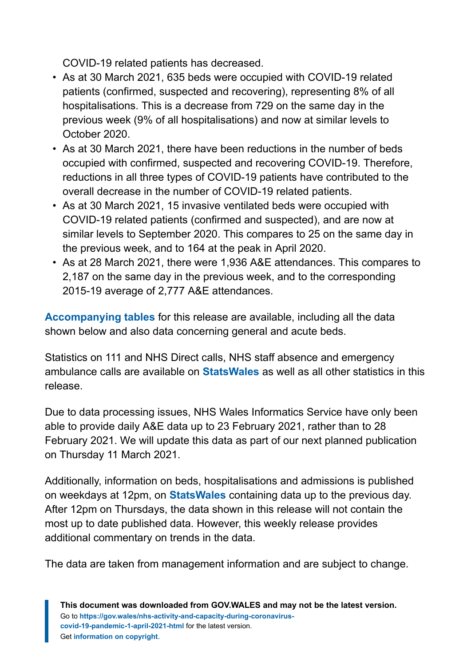COVID-19 related patients has decreased.

- As at 30 March 2021, 635 beds were occupied with COVID-19 related patients (confirmed, suspected and recovering), representing 8% of all hospitalisations. This is a decrease from 729 on the same day in the previous week (9% of all hospitalisations) and now at similar levels to October 2020.
- As at 30 March 2021, there have been reductions in the number of beds occupied with confirmed, suspected and recovering COVID-19. Therefore, reductions in all three types of COVID-19 patients have contributed to the overall decrease in the number of COVID-19 related patients.
- As at 30 March 2021, 15 invasive ventilated beds were occupied with COVID-19 related patients (confirmed and suspected), and are now at similar levels to September 2020. This compares to 25 on the same day in the previous week, and to 164 at the peak in April 2020.
- As at 28 March 2021, there were 1,936 A&E attendances. This compares to 2,187 on the same day in the previous week, and to the corresponding 2015-19 average of 2,777 A&E attendances.

**[Accompanying tables](https://gov.wales/nhs-activity-and-capacity-during-coronavirus-covid-19-pandemic-1-april-2021)** for this release are available, including all the data shown below and also data concerning general and acute beds.

Statistics on 111 and NHS Direct calls, NHS staff absence and emergency ambulance calls are available on **[StatsWales](https://statswales.gov.wales/Catalogue/Health-and-Social-Care/NHS-Hospital-Activity/nhs-activity-and-capacity-during-the-coronavirus-pandemic)** as well as all other statistics in this release.

Due to data processing issues, NHS Wales Informatics Service have only been able to provide daily A&E data up to 23 February 2021, rather than to 28 February 2021. We will update this data as part of our next planned publication on Thursday 11 March 2021.

Additionally, information on beds, hospitalisations and admissions is published on weekdays at 12pm, on **[StatsWales](https://statswales.gov.wales/Catalogue/Health-and-Social-Care/NHS-Hospital-Activity/nhs-activity-and-capacity-during-the-coronavirus-pandemic)** containing data up to the previous day. After 12pm on Thursdays, the data shown in this release will not contain the most up to date published data. However, this weekly release provides additional commentary on trends in the data.

The data are taken from management information and are subject to change.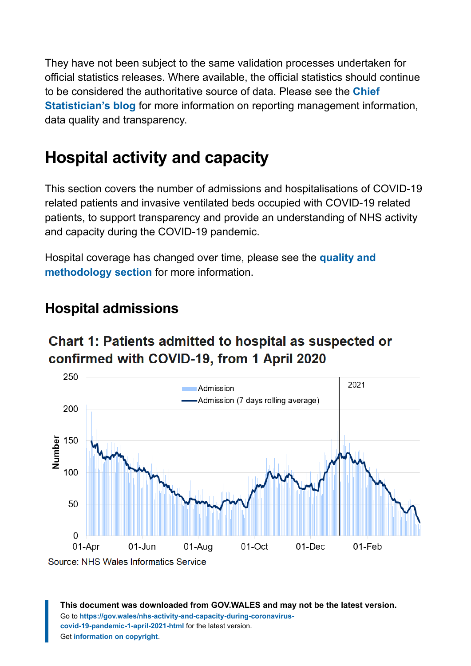They have not been subject to the same validation processes undertaken for official statistics releases. Where available, the official statistics should continue to be considered the authoritative source of data. Please see the **[Chief](https://digitalanddata.blog.gov.wales/2020/06/04/chief-statisticians-update-measuring-people-in-hospital-and-some-thoughts-on-data-quality/) [Statistician's blog](https://digitalanddata.blog.gov.wales/2020/06/04/chief-statisticians-update-measuring-people-in-hospital-and-some-thoughts-on-data-quality/)** for more information on reporting management information, data quality and transparency.

# <span id="page-3-0"></span>**Hospital activity and capacity**

This section covers the number of admissions and hospitalisations of COVID-19 related patients and invasive ventilated beds occupied with COVID-19 related patients, to support transparency and provide an understanding of NHS activity and capacity during the COVID-19 pandemic.

Hospital coverage has changed over time, please see the **[quality and](https://gov.wales/nhs-activity-and-capacity-during-coronavirus-covid-19-pandemic-1-april-2021-html#section-67663) [methodology section](https://gov.wales/nhs-activity-and-capacity-during-coronavirus-covid-19-pandemic-1-april-2021-html#section-67663)** for more information.

## **Hospital admissions**

# **Chart 1: Patients admitted to hospital as suspected or** confirmed with COVID-19, from 1 April 2020

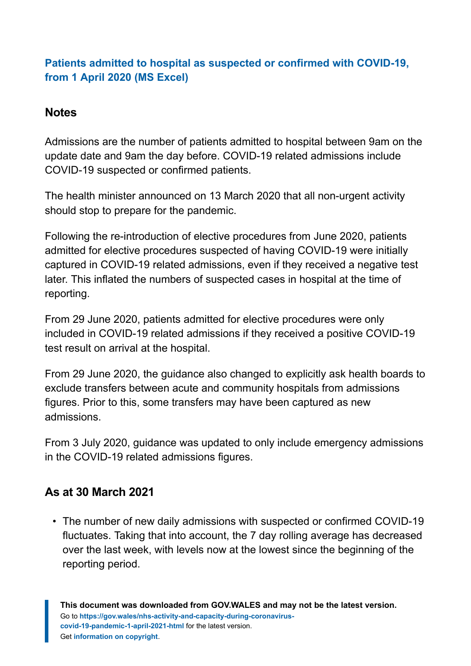#### **[Patients admitted to hospital as suspected or confirmed with COVID-19,](https://gov.wales/sites/default/files/statistics-and-research/2021-03/nhs-activity-and-capacity-during-the-coronavirus-covid-19-pandemic-1-april-2021-861.ods) [from 1 April 2020 \(MS Excel\)](https://gov.wales/sites/default/files/statistics-and-research/2021-03/nhs-activity-and-capacity-during-the-coronavirus-covid-19-pandemic-1-april-2021-861.ods)**

#### **Notes**

Admissions are the number of patients admitted to hospital between 9am on the update date and 9am the day before. COVID-19 related admissions include COVID-19 suspected or confirmed patients.

The health minister announced on 13 March 2020 that all non-urgent activity should stop to prepare for the pandemic.

Following the re-introduction of elective procedures from June 2020, patients admitted for elective procedures suspected of having COVID-19 were initially captured in COVID-19 related admissions, even if they received a negative test later. This inflated the numbers of suspected cases in hospital at the time of reporting.

From 29 June 2020, patients admitted for elective procedures were only included in COVID-19 related admissions if they received a positive COVID-19 test result on arrival at the hospital.

From 29 June 2020, the guidance also changed to explicitly ask health boards to exclude transfers between acute and community hospitals from admissions figures. Prior to this, some transfers may have been captured as new admissions.

From 3 July 2020, guidance was updated to only include emergency admissions in the COVID-19 related admissions figures.

#### **As at 30 March 2021**

• The number of new daily admissions with suspected or confirmed COVID-19 fluctuates. Taking that into account, the 7 day rolling average has decreased over the last week, with levels now at the lowest since the beginning of the reporting period.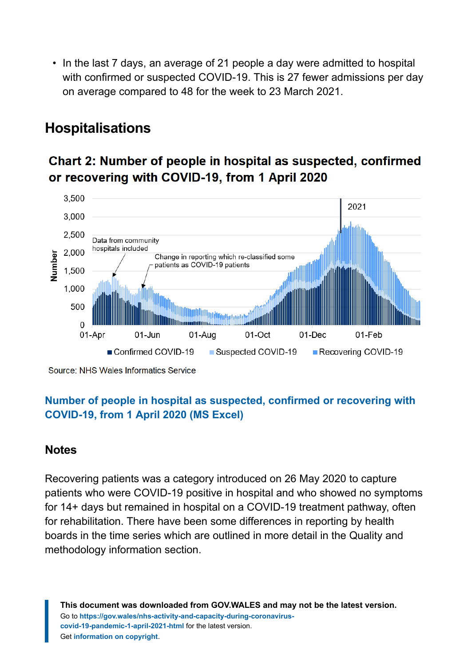• In the last 7 days, an average of 21 people a day were admitted to hospital with confirmed or suspected COVID-19. This is 27 fewer admissions per day on average compared to 48 for the week to 23 March 2021.

## **Hospitalisations**

### Chart 2: Number of people in hospital as suspected, confirmed or recovering with COVID-19, from 1 April 2020



Source: NHS Wales Informatics Service

#### **[Number of people in hospital as suspected, confirmed or recovering with](https://gov.wales/sites/default/files/statistics-and-research/2021-03/nhs-activity-and-capacity-during-the-coronavirus-covid-19-pandemic-1-april-2021-861.ods) [COVID-19, from 1 April 2020 \(MS Excel\)](https://gov.wales/sites/default/files/statistics-and-research/2021-03/nhs-activity-and-capacity-during-the-coronavirus-covid-19-pandemic-1-april-2021-861.ods)**

#### **Notes**

Recovering patients was a category introduced on 26 May 2020 to capture patients who were COVID-19 positive in hospital and who showed no symptoms for 14+ days but remained in hospital on a COVID-19 treatment pathway, often for rehabilitation. There have been some differences in reporting by health boards in the time series which are outlined in more detail in the Quality and methodology information section.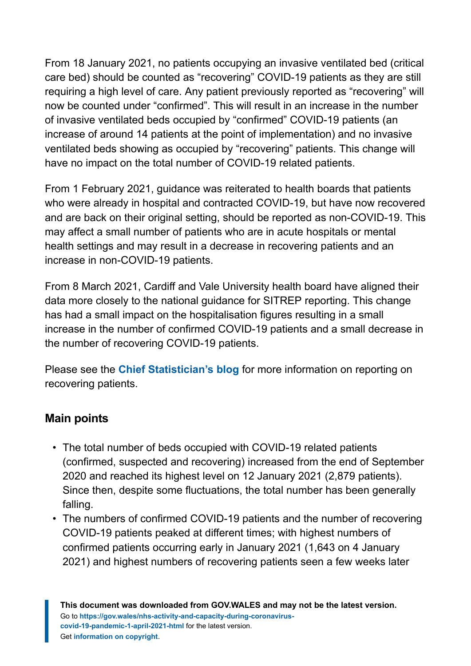From 18 January 2021, no patients occupying an invasive ventilated bed (critical care bed) should be counted as "recovering" COVID-19 patients as they are still requiring a high level of care. Any patient previously reported as "recovering" will now be counted under "confirmed". This will result in an increase in the number of invasive ventilated beds occupied by "confirmed" COVID-19 patients (an increase of around 14 patients at the point of implementation) and no invasive ventilated beds showing as occupied by "recovering" patients. This change will have no impact on the total number of COVID-19 related patients.

From 1 February 2021, guidance was reiterated to health boards that patients who were already in hospital and contracted COVID-19, but have now recovered and are back on their original setting, should be reported as non-COVID-19. This may affect a small number of patients who are in acute hospitals or mental health settings and may result in a decrease in recovering patients and an increase in non-COVID-19 patients.

From 8 March 2021, Cardiff and Vale University health board have aligned their data more closely to the national guidance for SITREP reporting. This change has had a small impact on the hospitalisation figures resulting in a small increase in the number of confirmed COVID-19 patients and a small decrease in the number of recovering COVID-19 patients.

Please see the **[Chief Statistician's blog](https://digitalanddata.blog.gov.wales/2020/06/04/chief-statisticians-update-measuring-people-in-hospital-and-some-thoughts-on-data-quality/)** for more information on reporting on recovering patients.

#### **Main points**

- The total number of beds occupied with COVID-19 related patients (confirmed, suspected and recovering) increased from the end of September 2020 and reached its highest level on 12 January 2021 (2,879 patients). Since then, despite some fluctuations, the total number has been generally falling.
- The numbers of confirmed COVID-19 patients and the number of recovering COVID-19 patients peaked at different times; with highest numbers of confirmed patients occurring early in January 2021 (1,643 on 4 January 2021) and highest numbers of recovering patients seen a few weeks later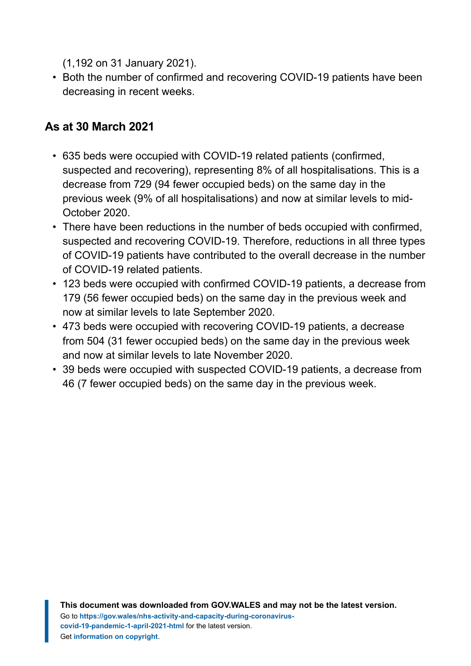(1,192 on 31 January 2021).

• Both the number of confirmed and recovering COVID-19 patients have been decreasing in recent weeks.

#### **As at 30 March 2021**

- 635 beds were occupied with COVID-19 related patients (confirmed, suspected and recovering), representing 8% of all hospitalisations. This is a decrease from 729 (94 fewer occupied beds) on the same day in the previous week (9% of all hospitalisations) and now at similar levels to mid-October 2020.
- There have been reductions in the number of beds occupied with confirmed, suspected and recovering COVID-19. Therefore, reductions in all three types of COVID-19 patients have contributed to the overall decrease in the number of COVID-19 related patients.
- 123 beds were occupied with confirmed COVID-19 patients, a decrease from 179 (56 fewer occupied beds) on the same day in the previous week and now at similar levels to late September 2020.
- 473 beds were occupied with recovering COVID-19 patients, a decrease from 504 (31 fewer occupied beds) on the same day in the previous week and now at similar levels to late November 2020.
- 39 beds were occupied with suspected COVID-19 patients, a decrease from 46 (7 fewer occupied beds) on the same day in the previous week.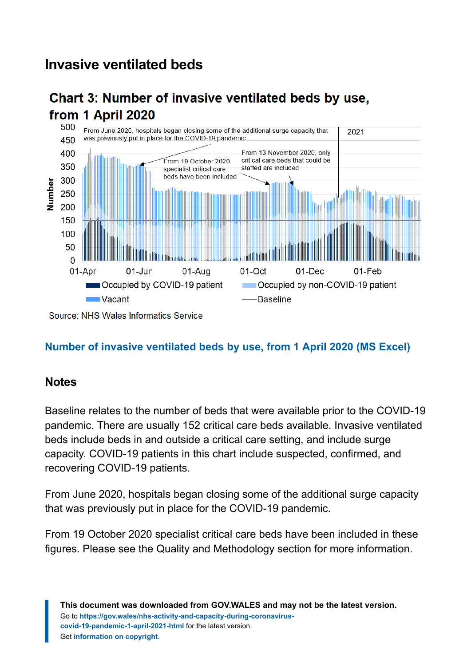## **Invasive ventilated beds**

## Chart 3: Number of invasive ventilated beds by use, from 1 April 2020



Source: NHS Wales Informatics Service

#### **[Number of invasive ventilated beds by use, from 1 April 2020](https://gov.wales/sites/default/files/statistics-and-research/2021-03/nhs-activity-and-capacity-during-the-coronavirus-covid-19-pandemic-1-april-2021-861.ods) (MS Excel)**

#### **Notes**

Baseline relates to the number of beds that were available prior to the COVID-19 pandemic. There are usually 152 critical care beds available. Invasive ventilated beds include beds in and outside a critical care setting, and include surge capacity. COVID-19 patients in this chart include suspected, confirmed, and recovering COVID-19 patients.

From June 2020, hospitals began closing some of the additional surge capacity that was previously put in place for the COVID-19 pandemic.

From 19 October 2020 specialist critical care beds have been included in these figures. Please see the Quality and Methodology section for more information.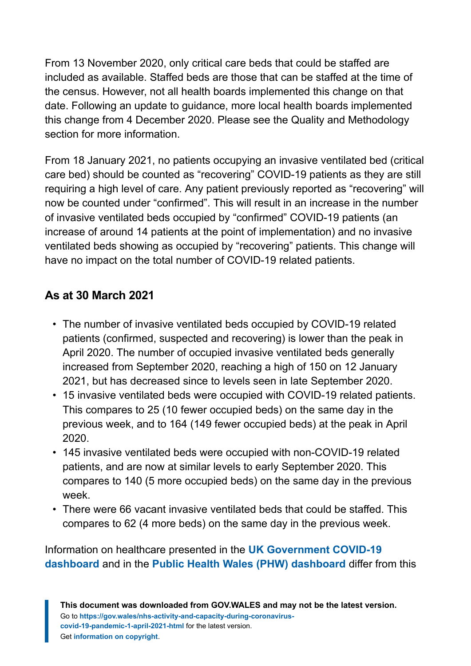From 13 November 2020, only critical care beds that could be staffed are included as available. Staffed beds are those that can be staffed at the time of the census. However, not all health boards implemented this change on that date. Following an update to guidance, more local health boards implemented this change from 4 December 2020. Please see the Quality and Methodology section for more information.

From 18 January 2021, no patients occupying an invasive ventilated bed (critical care bed) should be counted as "recovering" COVID-19 patients as they are still requiring a high level of care. Any patient previously reported as "recovering" will now be counted under "confirmed". This will result in an increase in the number of invasive ventilated beds occupied by "confirmed" COVID-19 patients (an increase of around 14 patients at the point of implementation) and no invasive ventilated beds showing as occupied by "recovering" patients. This change will have no impact on the total number of COVID-19 related patients.

#### **As at 30 March 2021**

- The number of invasive ventilated beds occupied by COVID-19 related patients (confirmed, suspected and recovering) is lower than the peak in April 2020. The number of occupied invasive ventilated beds generally increased from September 2020, reaching a high of 150 on 12 January 2021, but has decreased since to levels seen in late September 2020.
- 15 invasive ventilated beds were occupied with COVID-19 related patients. This compares to 25 (10 fewer occupied beds) on the same day in the previous week, and to 164 (149 fewer occupied beds) at the peak in April 2020.
- 145 invasive ventilated beds were occupied with non-COVID-19 related patients, and are now at similar levels to early September 2020. This compares to 140 (5 more occupied beds) on the same day in the previous week.
- There were 66 vacant invasive ventilated beds that could be staffed. This compares to 62 (4 more beds) on the same day in the previous week.

Information on healthcare presented in the **[UK Government COVID-19](https://coronavirus.data.gov.uk/) [dashboard](https://coronavirus.data.gov.uk/)** and in the **[Public Health Wales \(PHW\) dashboard](https://public.tableau.com/profile/public.health.wales.health.protection#!/vizhome/RapidCOVID-19virology-Public/Headlinesummary)** differ from this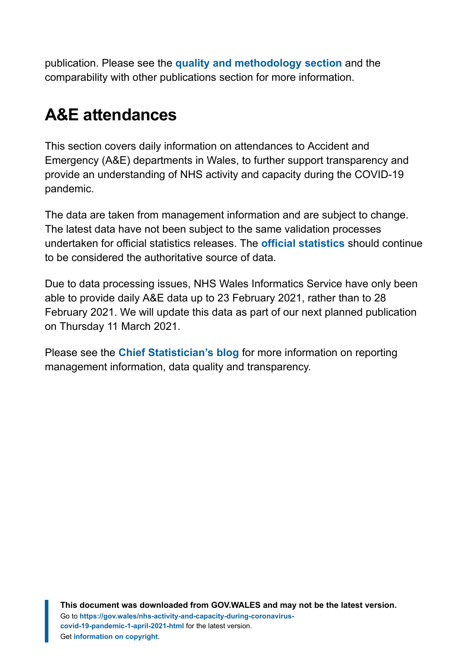publication. Please see the **[quality and methodology section](https://gov.wales/nhs-activity-and-capacity-during-coronavirus-covid-19-pandemic-1-april-2021-html#section-67663)** and the comparability with other publications section for more information.

# <span id="page-10-0"></span>**A&E attendances**

This section covers daily information on attendances to Accident and Emergency (A&E) departments in Wales, to further support transparency and provide an understanding of NHS activity and capacity during the COVID-19 pandemic.

The data are taken from management information and are subject to change. The latest data have not been subject to the same validation processes undertaken for official statistics releases. The **[official statistics](https://gov.wales/nhs-activity-and-performance-summary)** should continue to be considered the authoritative source of data.

Due to data processing issues, NHS Wales Informatics Service have only been able to provide daily A&E data up to 23 February 2021, rather than to 28 February 2021. We will update this data as part of our next planned publication on Thursday 11 March 2021.

Please see the **[Chief Statistician's blog](https://digitalanddata.blog.gov.wales/2020/06/04/chief-statisticians-update-measuring-people-in-hospital-and-some-thoughts-on-data-quality/)** for more information on reporting management information, data quality and transparency.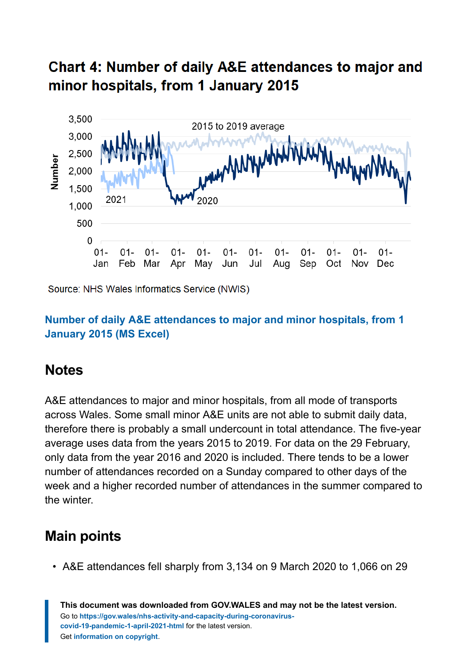# Chart 4: Number of daily A&E attendances to major and minor hospitals, from 1 January 2015



Source: NHS Wales Informatics Service (NWIS)

#### **[Number of daily A&E attendances to major and minor hospitals, from 1](https://gov.wales/sites/default/files/statistics-and-research/2021-03/nhs-activity-and-capacity-during-the-coronavirus-covid-19-pandemic-1-april-2021-861.ods) [January 2015 \(MS Excel\)](https://gov.wales/sites/default/files/statistics-and-research/2021-03/nhs-activity-and-capacity-during-the-coronavirus-covid-19-pandemic-1-april-2021-861.ods)**

#### **Notes**

A&E attendances to major and minor hospitals, from all mode of transports across Wales. Some small minor A&E units are not able to submit daily data, therefore there is probably a small undercount in total attendance. The five-year average uses data from the years 2015 to 2019. For data on the 29 February, only data from the year 2016 and 2020 is included. There tends to be a lower number of attendances recorded on a Sunday compared to other days of the week and a higher recorded number of attendances in the summer compared to the winter.

## **Main points**

• A&E attendances fell sharply from 3,134 on 9 March 2020 to 1,066 on 29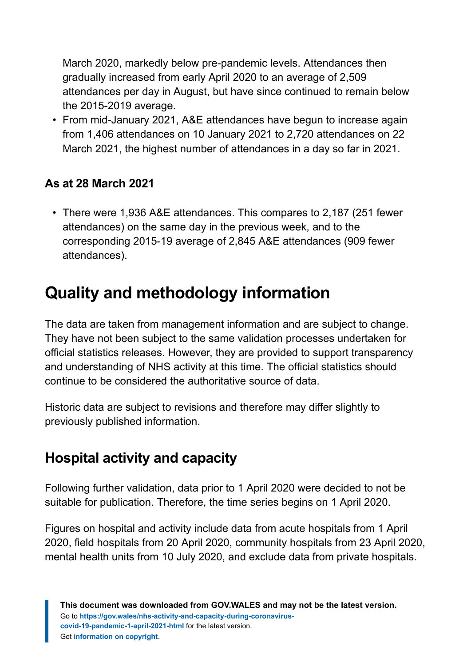March 2020, markedly below pre-pandemic levels. Attendances then gradually increased from early April 2020 to an average of 2,509 attendances per day in August, but have since continued to remain below the 2015-2019 average.

• From mid-January 2021, A&E attendances have begun to increase again from 1,406 attendances on 10 January 2021 to 2,720 attendances on 22 March 2021, the highest number of attendances in a day so far in 2021.

#### **As at 28 March 2021**

• There were 1,936 A&E attendances. This compares to 2,187 (251 fewer attendances) on the same day in the previous week, and to the corresponding 2015-19 average of 2,845 A&E attendances (909 fewer attendances).

# <span id="page-12-0"></span>**Quality and methodology information**

The data are taken from management information and are subject to change. They have not been subject to the same validation processes undertaken for official statistics releases. However, they are provided to support transparency and understanding of NHS activity at this time. The official statistics should continue to be considered the authoritative source of data.

Historic data are subject to revisions and therefore may differ slightly to previously published information.

# **Hospital activity and capacity**

Following further validation, data prior to 1 April 2020 were decided to not be suitable for publication. Therefore, the time series begins on 1 April 2020.

Figures on hospital and activity include data from acute hospitals from 1 April 2020, field hospitals from 20 April 2020, community hospitals from 23 April 2020, mental health units from 10 July 2020, and exclude data from private hospitals.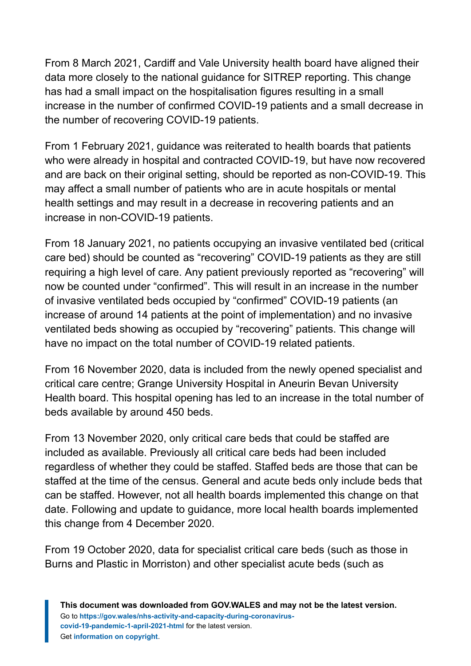From 8 March 2021, Cardiff and Vale University health board have aligned their data more closely to the national guidance for SITREP reporting. This change has had a small impact on the hospitalisation figures resulting in a small increase in the number of confirmed COVID-19 patients and a small decrease in the number of recovering COVID-19 patients.

From 1 February 2021, guidance was reiterated to health boards that patients who were already in hospital and contracted COVID-19, but have now recovered and are back on their original setting, should be reported as non-COVID-19. This may affect a small number of patients who are in acute hospitals or mental health settings and may result in a decrease in recovering patients and an increase in non-COVID-19 patients.

From 18 January 2021, no patients occupying an invasive ventilated bed (critical care bed) should be counted as "recovering" COVID-19 patients as they are still requiring a high level of care. Any patient previously reported as "recovering" will now be counted under "confirmed". This will result in an increase in the number of invasive ventilated beds occupied by "confirmed" COVID-19 patients (an increase of around 14 patients at the point of implementation) and no invasive ventilated beds showing as occupied by "recovering" patients. This change will have no impact on the total number of COVID-19 related patients.

From 16 November 2020, data is included from the newly opened specialist and critical care centre; Grange University Hospital in Aneurin Bevan University Health board. This hospital opening has led to an increase in the total number of beds available by around 450 beds.

From 13 November 2020, only critical care beds that could be staffed are included as available. Previously all critical care beds had been included regardless of whether they could be staffed. Staffed beds are those that can be staffed at the time of the census. General and acute beds only include beds that can be staffed. However, not all health boards implemented this change on that date. Following and update to guidance, more local health boards implemented this change from 4 December 2020.

From 19 October 2020, data for specialist critical care beds (such as those in Burns and Plastic in Morriston) and other specialist acute beds (such as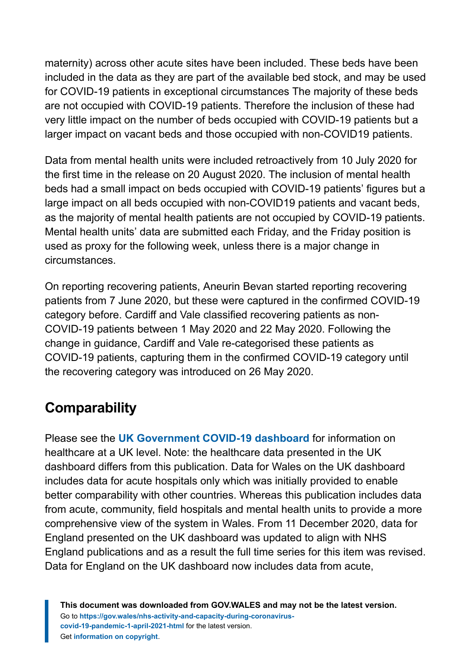maternity) across other acute sites have been included. These beds have been included in the data as they are part of the available bed stock, and may be used for COVID-19 patients in exceptional circumstances The majority of these beds are not occupied with COVID-19 patients. Therefore the inclusion of these had very little impact on the number of beds occupied with COVID-19 patients but a larger impact on vacant beds and those occupied with non-COVID19 patients.

Data from mental health units were included retroactively from 10 July 2020 for the first time in the release on 20 August 2020. The inclusion of mental health beds had a small impact on beds occupied with COVID-19 patients' figures but a large impact on all beds occupied with non-COVID19 patients and vacant beds, as the majority of mental health patients are not occupied by COVID-19 patients. Mental health units' data are submitted each Friday, and the Friday position is used as proxy for the following week, unless there is a major change in circumstances.

On reporting recovering patients, Aneurin Bevan started reporting recovering patients from 7 June 2020, but these were captured in the confirmed COVID-19 category before. Cardiff and Vale classified recovering patients as non-COVID-19 patients between 1 May 2020 and 22 May 2020. Following the change in guidance, Cardiff and Vale re-categorised these patients as COVID-19 patients, capturing them in the confirmed COVID-19 category until the recovering category was introduced on 26 May 2020.

# **Comparability**

Please see the **[UK Government COVID-19 dashboard](https://coronavirus.data.gov.uk/)** for information on healthcare at a UK level. Note: the healthcare data presented in the UK dashboard differs from this publication. Data for Wales on the UK dashboard includes data for acute hospitals only which was initially provided to enable better comparability with other countries. Whereas this publication includes data from acute, community, field hospitals and mental health units to provide a more comprehensive view of the system in Wales. From 11 December 2020, data for England presented on the UK dashboard was updated to align with NHS England publications and as a result the full time series for this item was revised. Data for England on the UK dashboard now includes data from acute,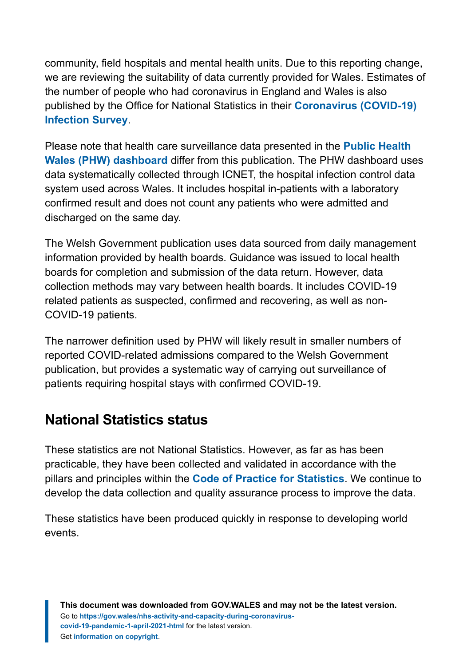community, field hospitals and mental health units. Due to this reporting change, we are reviewing the suitability of data currently provided for Wales. Estimates of the number of people who had coronavirus in England and Wales is also published by the Office for National Statistics in their **[Coronavirus \(COVID-19\)](https://www.ons.gov.uk/peoplepopulationandcommunity/healthandsocialcare/conditionsanddiseases/bulletins/coronaviruscovid19infectionsurveypilot/previousReleases) [Infection Survey](https://www.ons.gov.uk/peoplepopulationandcommunity/healthandsocialcare/conditionsanddiseases/bulletins/coronaviruscovid19infectionsurveypilot/previousReleases)**.

Please note that health care surveillance data presented in the **[Public Health](https://public.tableau.com/profile/public.health.wales.health.protection#!/vizhome/RapidCOVID-19virology-Public/Headlinesummary) [Wales \(PHW\) dashboard](https://public.tableau.com/profile/public.health.wales.health.protection#!/vizhome/RapidCOVID-19virology-Public/Headlinesummary)** differ from this publication. The PHW dashboard uses data systematically collected through ICNET, the hospital infection control data system used across Wales. It includes hospital in-patients with a laboratory confirmed result and does not count any patients who were admitted and discharged on the same day.

The Welsh Government publication uses data sourced from daily management information provided by health boards. Guidance was issued to local health boards for completion and submission of the data return. However, data collection methods may vary between health boards. It includes COVID-19 related patients as suspected, confirmed and recovering, as well as non-COVID-19 patients.

The narrower definition used by PHW will likely result in smaller numbers of reported COVID-related admissions compared to the Welsh Government publication, but provides a systematic way of carrying out surveillance of patients requiring hospital stays with confirmed COVID-19.

## **National Statistics status**

These statistics are not National Statistics. However, as far as has been practicable, they have been collected and validated in accordance with the pillars and principles within the **[Code of Practice for Statistics](https://code.statisticsauthority.gov.uk/)**. We continue to develop the data collection and quality assurance process to improve the data.

These statistics have been produced quickly in response to developing world events.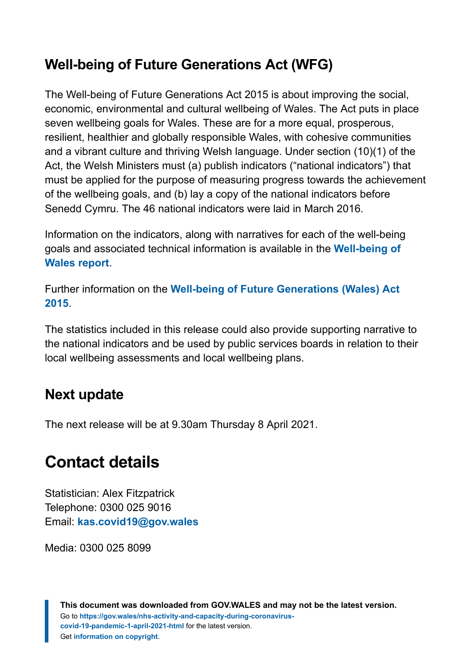# **Well-being of Future Generations Act (WFG)**

The Well-being of Future Generations Act 2015 is about improving the social, economic, environmental and cultural wellbeing of Wales. The Act puts in place seven wellbeing goals for Wales. These are for a more equal, prosperous, resilient, healthier and globally responsible Wales, with cohesive communities and a vibrant culture and thriving Welsh language. Under section (10)(1) of the Act, the Welsh Ministers must (a) publish indicators ("national indicators") that must be applied for the purpose of measuring progress towards the achievement of the wellbeing goals, and (b) lay a copy of the national indicators before Senedd Cymru. The 46 national indicators were laid in March 2016.

Information on the indicators, along with narratives for each of the well-being goals and associated technical information is available in the **[Well-being of](https://gov.wales/wellbeing-wales) [Wales report](https://gov.wales/wellbeing-wales)**.

Further information on the **[Well-being of Future Generations \(Wales\) Act](https://gov.wales/well-being-future-generations-wales-act-2015-guidance) [2015](https://gov.wales/well-being-future-generations-wales-act-2015-guidance)**.

The statistics included in this release could also provide supporting narrative to the national indicators and be used by public services boards in relation to their local wellbeing assessments and local wellbeing plans.

## **Next update**

The next release will be at 9.30am Thursday 8 April 2021.

# <span id="page-16-0"></span>**Contact details**

Statistician: Alex Fitzpatrick Telephone: 0300 025 9016 Email: **[kas.covid19@gov.wales](mailto:kas.covid19@gov.wales)**

Media: 0300 025 8099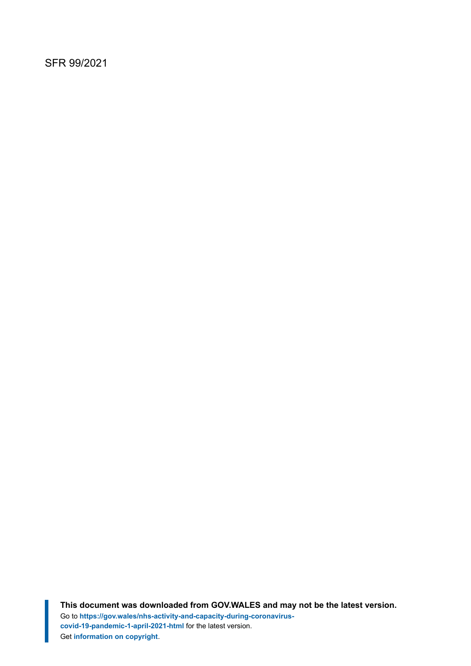#### SFR 99/2021